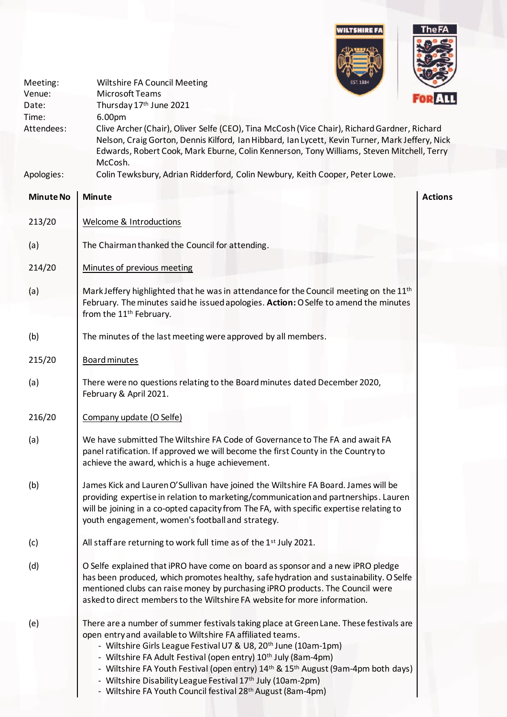

| Meeting:<br>Venue:<br>Date:<br>Time:<br>Attendees: | <b>EST. 1884</b><br><b>Wiltshire FA Council Meeting</b><br>Microsoft Teams<br>Thursday 17th June 2021<br>6.00pm<br>Clive Archer (Chair), Oliver Selfe (CEO), Tina McCosh (Vice Chair), Richard Gardner, Richard<br>Nelson, Craig Gorton, Dennis Kilford, Ian Hibbard, Ian Lycett, Kevin Turner, Mark Jeffery, Nick<br>Edwards, Robert Cook, Mark Eburne, Colin Kennerson, Tony Williams, Steven Mitchell, Terry<br>McCosh.                                                                                                                                                           | <b>FOR ALL</b> |
|----------------------------------------------------|--------------------------------------------------------------------------------------------------------------------------------------------------------------------------------------------------------------------------------------------------------------------------------------------------------------------------------------------------------------------------------------------------------------------------------------------------------------------------------------------------------------------------------------------------------------------------------------|----------------|
| Apologies:                                         | Colin Tewksbury, Adrian Ridderford, Colin Newbury, Keith Cooper, Peter Lowe.                                                                                                                                                                                                                                                                                                                                                                                                                                                                                                         |                |
| <b>Minute No</b>                                   | <b>Minute</b>                                                                                                                                                                                                                                                                                                                                                                                                                                                                                                                                                                        | <b>Actions</b> |
| 213/20                                             | <b>Welcome &amp; Introductions</b>                                                                                                                                                                                                                                                                                                                                                                                                                                                                                                                                                   |                |
| (a)                                                | The Chairman thanked the Council for attending.                                                                                                                                                                                                                                                                                                                                                                                                                                                                                                                                      |                |
| 214/20                                             | Minutes of previous meeting                                                                                                                                                                                                                                                                                                                                                                                                                                                                                                                                                          |                |
| (a)                                                | Mark Jeffery highlighted that he was in attendance for the Council meeting on the 11 <sup>th</sup><br>February. The minutes said he issued apologies. Action: O Selfe to amend the minutes<br>from the 11 <sup>th</sup> February.                                                                                                                                                                                                                                                                                                                                                    |                |
| (b)                                                | The minutes of the last meeting were approved by all members.                                                                                                                                                                                                                                                                                                                                                                                                                                                                                                                        |                |
| 215/20                                             | <b>Board minutes</b>                                                                                                                                                                                                                                                                                                                                                                                                                                                                                                                                                                 |                |
| (a)                                                | There were no questions relating to the Board minutes dated December 2020,<br>February & April 2021.                                                                                                                                                                                                                                                                                                                                                                                                                                                                                 |                |
| 216/20                                             | Company update (O Selfe)                                                                                                                                                                                                                                                                                                                                                                                                                                                                                                                                                             |                |
| (a)                                                | We have submitted The Wiltshire FA Code of Governance to The FA and await FA<br>panel ratification. If approved we will become the first County in the Country to<br>achieve the award, which is a huge achievement.                                                                                                                                                                                                                                                                                                                                                                 |                |
| (b)                                                | James Kick and Lauren O'Sullivan have joined the Wiltshire FA Board. James will be<br>providing expertise in relation to marketing/communication and partnerships. Lauren<br>will be joining in a co-opted capacity from The FA, with specific expertise relating to<br>youth engagement, women's football and strategy.                                                                                                                                                                                                                                                             |                |
| (c)                                                | All staff are returning to work full time as of the 1st July 2021.                                                                                                                                                                                                                                                                                                                                                                                                                                                                                                                   |                |
| (d)                                                | O Selfe explained that iPRO have come on board as sponsor and a new iPRO pledge<br>has been produced, which promotes healthy, safe hydration and sustainability. O Selfe<br>mentioned clubs can raise money by purchasing iPRO products. The Council were<br>asked to direct members to the Wiltshire FA website for more information.                                                                                                                                                                                                                                               |                |
| (e)                                                | There are a number of summer festivals taking place at Green Lane. These festivals are<br>open entry and available to Wiltshire FA affiliated teams.<br>- Wiltshire Girls League Festival U7 & U8, 20 <sup>th</sup> June (10am-1pm)<br>- Wiltshire FA Adult Festival (open entry) 10 <sup>th</sup> July (8am-4pm)<br>- Wiltshire FA Youth Festival (open entry) 14 <sup>th</sup> & 15 <sup>th</sup> August (9am-4pm both days)<br>- Wiltshire Disability League Festival 17 <sup>th</sup> July (10am-2pm)<br>- Wiltshire FA Youth Council festival 28 <sup>th</sup> August (8am-4pm) |                |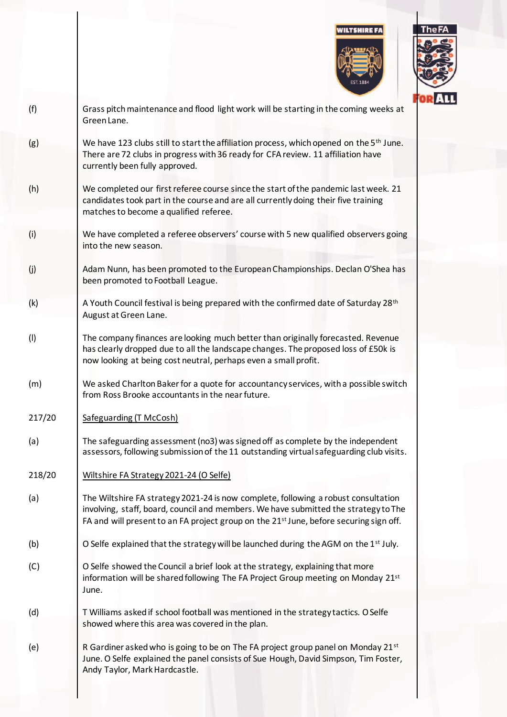



| (f)    | Grass pitch maintenance and flood light work will be starting in the coming weeks at<br>Green Lane.                                                                                                                                                                             |
|--------|---------------------------------------------------------------------------------------------------------------------------------------------------------------------------------------------------------------------------------------------------------------------------------|
| (g)    | We have 123 clubs still to start the affiliation process, which opened on the 5 <sup>th</sup> June.<br>There are 72 clubs in progress with 36 ready for CFA review. 11 affiliation have<br>currently been fully approved.                                                       |
| (h)    | We completed our first referee course since the start of the pandemic last week. 21<br>candidates took part in the course and are all currently doing their five training<br>matches to become a qualified referee.                                                             |
| (i)    | We have completed a referee observers' course with 5 new qualified observers going<br>into the new season.                                                                                                                                                                      |
| (j)    | Adam Nunn, has been promoted to the European Championships. Declan O'Shea has<br>been promoted to Football League.                                                                                                                                                              |
| (k)    | A Youth Council festival is being prepared with the confirmed date of Saturday 28 <sup>th</sup><br>August at Green Lane.                                                                                                                                                        |
| (1)    | The company finances are looking much better than originally forecasted. Revenue<br>has clearly dropped due to all the landscape changes. The proposed loss of £50k is<br>now looking at being cost neutral, perhaps even a small profit.                                       |
| (m)    | We asked Charlton Baker for a quote for accountancy services, with a possible switch<br>from Ross Brooke accountants in the near future.                                                                                                                                        |
| 217/20 | Safeguarding (T McCosh)                                                                                                                                                                                                                                                         |
| (a)    | The safeguarding assessment (no3) was signed off as complete by the independent<br>assessors, following submission of the 11 outstanding virtual safeguarding club visits.                                                                                                      |
| 218/20 | Wiltshire FA Strategy 2021-24 (O Selfe)                                                                                                                                                                                                                                         |
| (a)    | The Wiltshire FA strategy 2021-24 is now complete, following a robust consultation<br>involving, staff, board, council and members. We have submitted the strategy to The<br>FA and will present to an FA project group on the 21 <sup>st</sup> June, before securing sign off. |
| (b)    | O Selfe explained that the strategy will be launched during the AGM on the 1 <sup>st</sup> July.                                                                                                                                                                                |
| (C)    | O Selfe showed the Council a brief look at the strategy, explaining that more<br>information will be shared following The FA Project Group meeting on Monday 21st<br>June.                                                                                                      |
| (d)    | T Williams asked if school football was mentioned in the strategy tactics. O Selfe<br>showed where this area was covered in the plan.                                                                                                                                           |
| (e)    | R Gardiner asked who is going to be on The FA project group panel on Monday 21st<br>June. O Selfe explained the panel consists of Sue Hough, David Simpson, Tim Foster,<br>Andy Taylor, Mark Hardcastle.                                                                        |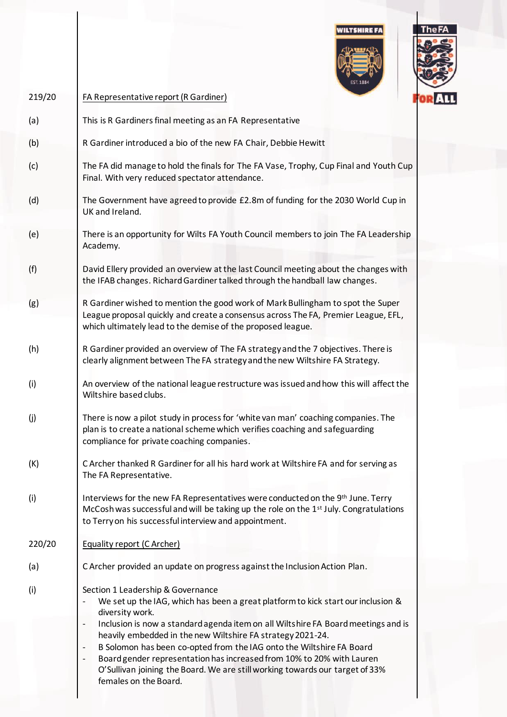



| 219/20 | FA Representative report (R Gardiner)                                                                                                                                                                                                                                                                                                                                                                                                                                                                                                                 |  |
|--------|-------------------------------------------------------------------------------------------------------------------------------------------------------------------------------------------------------------------------------------------------------------------------------------------------------------------------------------------------------------------------------------------------------------------------------------------------------------------------------------------------------------------------------------------------------|--|
| (a)    | This is R Gardiners final meeting as an FA Representative                                                                                                                                                                                                                                                                                                                                                                                                                                                                                             |  |
| (b)    | R Gardiner introduced a bio of the new FA Chair, Debbie Hewitt                                                                                                                                                                                                                                                                                                                                                                                                                                                                                        |  |
| (c)    | The FA did manage to hold the finals for The FA Vase, Trophy, Cup Final and Youth Cup<br>Final. With very reduced spectator attendance.                                                                                                                                                                                                                                                                                                                                                                                                               |  |
| (d)    | The Government have agreed to provide £2.8m of funding for the 2030 World Cup in<br>UK and Ireland.                                                                                                                                                                                                                                                                                                                                                                                                                                                   |  |
| (e)    | There is an opportunity for Wilts FA Youth Council members to join The FA Leadership<br>Academy.                                                                                                                                                                                                                                                                                                                                                                                                                                                      |  |
| (f)    | David Ellery provided an overview at the last Council meeting about the changes with<br>the IFAB changes. Richard Gardiner talked through the handball law changes.                                                                                                                                                                                                                                                                                                                                                                                   |  |
| (g)    | R Gardiner wished to mention the good work of Mark Bullingham to spot the Super<br>League proposal quickly and create a consensus across The FA, Premier League, EFL,<br>which ultimately lead to the demise of the proposed league.                                                                                                                                                                                                                                                                                                                  |  |
| (h)    | R Gardiner provided an overview of The FA strategy and the 7 objectives. There is<br>clearly alignment between The FA strategy and the new Wiltshire FA Strategy.                                                                                                                                                                                                                                                                                                                                                                                     |  |
| (i)    | An overview of the national league restructure was issued and how this will affect the<br>Wiltshire based clubs.                                                                                                                                                                                                                                                                                                                                                                                                                                      |  |
| (j)    | There is now a pilot study in process for 'white van man' coaching companies. The<br>plan is to create a national scheme which verifies coaching and safeguarding<br>compliance for private coaching companies.                                                                                                                                                                                                                                                                                                                                       |  |
| (K)    | C Archer thanked R Gardiner for all his hard work at Wiltshire FA and for serving as<br>The FA Representative.                                                                                                                                                                                                                                                                                                                                                                                                                                        |  |
| (i)    | Interviews for the new FA Representatives were conducted on the 9th June. Terry<br>McCosh was successful and will be taking up the role on the 1 <sup>st</sup> July. Congratulations<br>to Terry on his successful interview and appointment.                                                                                                                                                                                                                                                                                                         |  |
| 220/20 | Equality report (C Archer)                                                                                                                                                                                                                                                                                                                                                                                                                                                                                                                            |  |
| (a)    | C Archer provided an update on progress against the Inclusion Action Plan.                                                                                                                                                                                                                                                                                                                                                                                                                                                                            |  |
| (i)    | Section 1 Leadership & Governance<br>We set up the IAG, which has been a great platform to kick start our inclusion &<br>diversity work.<br>Inclusion is now a standard agenda item on all Wiltshire FA Board meetings and is<br>heavily embedded in the new Wiltshire FA strategy 2021-24.<br>B Solomon has been co-opted from the IAG onto the Wiltshire FA Board<br>Board gender representation has increased from 10% to 20% with Lauren<br>O'Sullivan joining the Board. We are still working towards our target of 33%<br>females on the Board. |  |
|        |                                                                                                                                                                                                                                                                                                                                                                                                                                                                                                                                                       |  |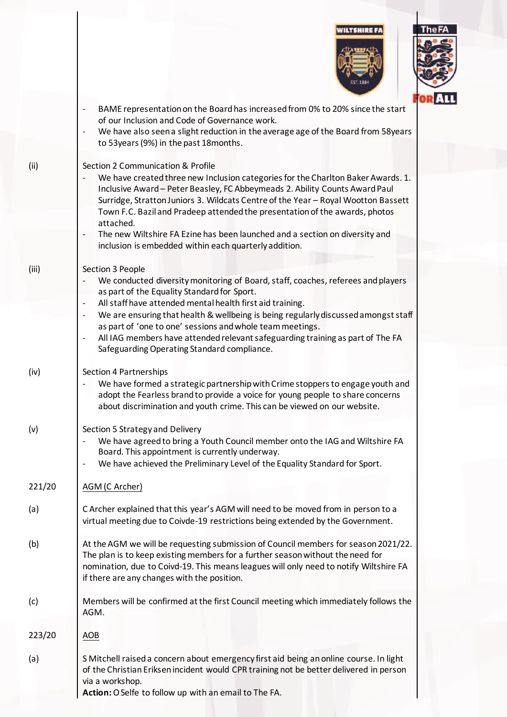



|        | IOR ALL                                                                                                                                                         |
|--------|-----------------------------------------------------------------------------------------------------------------------------------------------------------------|
|        | BAME representation on the Board has increased from 0% to 20% since the start<br>of our Inclusion and Code of Governance work.                                  |
|        | We have also seen a slight reduction in the average age of the Board from 58years<br>$\qquad \qquad \blacksquare$                                               |
|        | to 53years (9%) in the past 18 months.                                                                                                                          |
|        |                                                                                                                                                                 |
| (ii)   | Section 2 Communication & Profile                                                                                                                               |
|        | We have created three new Inclusion categories for the Charlton Baker Awards. 1.<br>Inclusive Award - Peter Beasley, FC Abbeymeads 2. Ability Counts Award Paul |
|        | Surridge, Stratton Juniors 3. Wildcats Centre of the Year - Royal Wootton Bassett                                                                               |
|        | Town F.C. Bazil and Pradeep attended the presentation of the awards, photos                                                                                     |
|        | attached.                                                                                                                                                       |
|        | The new Wiltshire FA Ezine has been launched and a section on diversity and<br>inclusion is embedded within each quarterly addition.                            |
|        |                                                                                                                                                                 |
| (iii)  | Section 3 People                                                                                                                                                |
|        | We conducted diversity monitoring of Board, staff, coaches, referees and players                                                                                |
|        | as part of the Equality Standard for Sport.                                                                                                                     |
|        | All staff have attended mental health first aid training.                                                                                                       |
|        | We are ensuring that health & wellbeing is being regularly discussed amongst staff                                                                              |
|        | as part of 'one to one' sessions and whole team meetings.                                                                                                       |
|        | All IAG members have attended relevant safeguarding training as part of The FA<br>$\overline{\phantom{a}}$<br>Safeguarding Operating Standard compliance.       |
|        |                                                                                                                                                                 |
| (iv)   | Section 4 Partnerships                                                                                                                                          |
|        | We have formed a strategic partnership with Crime stoppers to engage youth and                                                                                  |
|        | adopt the Fearless brand to provide a voice for young people to share concerns                                                                                  |
|        | about discrimination and youth crime. This can be viewed on our website.                                                                                        |
|        |                                                                                                                                                                 |
| (v)    | Section 5 Strategy and Delivery<br>We have agreed to bring a Youth Council member onto the IAG and Wiltshire FA                                                 |
|        | Board. This appointment is currently underway.                                                                                                                  |
|        | We have achieved the Preliminary Level of the Equality Standard for Sport.                                                                                      |
|        |                                                                                                                                                                 |
| 221/20 | AGM (C Archer)                                                                                                                                                  |
|        |                                                                                                                                                                 |
| (a)    | C Archer explained that this year's AGM will need to be moved from in person to a                                                                               |
|        | virtual meeting due to Coivde-19 restrictions being extended by the Government.                                                                                 |
| (b)    | At the AGM we will be requesting submission of Council members for season 2021/22.                                                                              |
|        | The plan is to keep existing members for a further season without the need for                                                                                  |
|        | nomination, due to Coivd-19. This means leagues will only need to notify Wiltshire FA                                                                           |
|        | if there are any changes with the position.                                                                                                                     |
|        |                                                                                                                                                                 |
| (c)    | Members will be confirmed at the first Council meeting which immediately follows the                                                                            |
|        | AGM.                                                                                                                                                            |
| 223/20 | AOB                                                                                                                                                             |
|        |                                                                                                                                                                 |
| (a)    | S Mitchell raised a concern about emergency first aid being an online course. In light                                                                          |
|        | of the Christian Eriksen incident would CPR training not be better delivered in person                                                                          |
|        | via a workshop.                                                                                                                                                 |
|        | Action: O Selfe to follow up with an email to The FA.                                                                                                           |